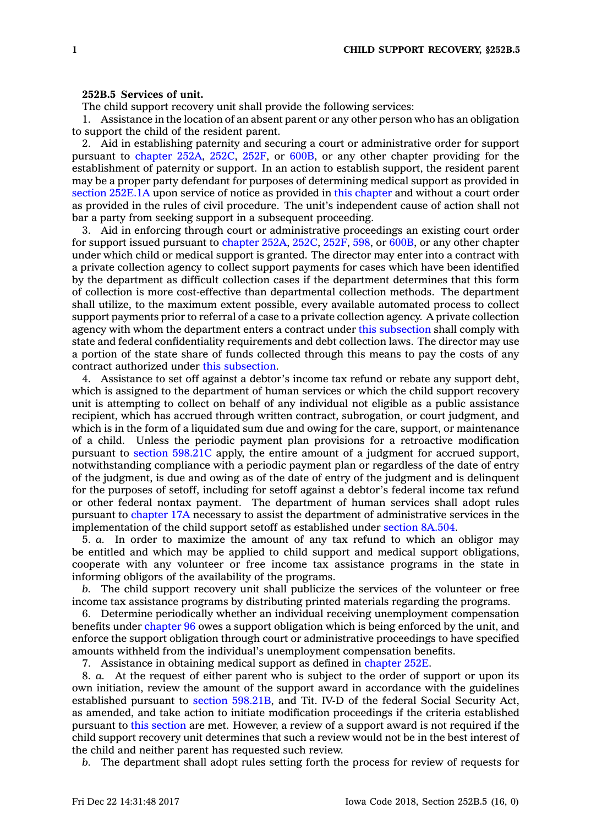## **252B.5 Services of unit.**

The child support recovery unit shall provide the following services:

1. Assistance in the location of an absent parent or any other person who has an obligation to support the child of the resident parent.

2. Aid in establishing paternity and securing <sup>a</sup> court or administrative order for support pursuant to [chapter](https://www.legis.iowa.gov/docs/code//252A.pdf) 252A, [252C](https://www.legis.iowa.gov/docs/code//252C.pdf), [252F](https://www.legis.iowa.gov/docs/code//252F.pdf), or [600B](https://www.legis.iowa.gov/docs/code//600B.pdf), or any other chapter providing for the establishment of paternity or support. In an action to establish support, the resident parent may be <sup>a</sup> proper party defendant for purposes of determining medical support as provided in section [252E.1A](https://www.legis.iowa.gov/docs/code/252E.1A.pdf) upon service of notice as provided in this [chapter](https://www.legis.iowa.gov/docs/code//252B.pdf) and without <sup>a</sup> court order as provided in the rules of civil procedure. The unit's independent cause of action shall not bar <sup>a</sup> party from seeking support in <sup>a</sup> subsequent proceeding.

3. Aid in enforcing through court or administrative proceedings an existing court order for support issued pursuant to [chapter](https://www.legis.iowa.gov/docs/code//252A.pdf) 252A, [252C](https://www.legis.iowa.gov/docs/code//252C.pdf), [252F](https://www.legis.iowa.gov/docs/code//252F.pdf), [598](https://www.legis.iowa.gov/docs/code//598.pdf), or [600B](https://www.legis.iowa.gov/docs/code//600B.pdf), or any other chapter under which child or medical support is granted. The director may enter into <sup>a</sup> contract with <sup>a</sup> private collection agency to collect support payments for cases which have been identified by the department as difficult collection cases if the department determines that this form of collection is more cost-effective than departmental collection methods. The department shall utilize, to the maximum extent possible, every available automated process to collect support payments prior to referral of <sup>a</sup> case to <sup>a</sup> private collection agency. A private collection agency with whom the department enters <sup>a</sup> contract under this [subsection](https://www.legis.iowa.gov/docs/code/252B.5.pdf) shall comply with state and federal confidentiality requirements and debt collection laws. The director may use <sup>a</sup> portion of the state share of funds collected through this means to pay the costs of any contract authorized under this [subsection](https://www.legis.iowa.gov/docs/code/252B.5.pdf).

4. Assistance to set off against <sup>a</sup> debtor's income tax refund or rebate any support debt, which is assigned to the department of human services or which the child support recovery unit is attempting to collect on behalf of any individual not eligible as <sup>a</sup> public assistance recipient, which has accrued through written contract, subrogation, or court judgment, and which is in the form of <sup>a</sup> liquidated sum due and owing for the care, support, or maintenance of <sup>a</sup> child. Unless the periodic payment plan provisions for <sup>a</sup> retroactive modification pursuant to section [598.21C](https://www.legis.iowa.gov/docs/code/598.21C.pdf) apply, the entire amount of <sup>a</sup> judgment for accrued support, notwithstanding compliance with <sup>a</sup> periodic payment plan or regardless of the date of entry of the judgment, is due and owing as of the date of entry of the judgment and is delinquent for the purposes of setoff, including for setoff against <sup>a</sup> debtor's federal income tax refund or other federal nontax payment. The department of human services shall adopt rules pursuant to [chapter](https://www.legis.iowa.gov/docs/code//17A.pdf) 17A necessary to assist the department of administrative services in the implementation of the child support setoff as established under [section](https://www.legis.iowa.gov/docs/code/8A.504.pdf) 8A.504.

5. *a.* In order to maximize the amount of any tax refund to which an obligor may be entitled and which may be applied to child support and medical support obligations, cooperate with any volunteer or free income tax assistance programs in the state in informing obligors of the availability of the programs.

*b.* The child support recovery unit shall publicize the services of the volunteer or free income tax assistance programs by distributing printed materials regarding the programs.

6. Determine periodically whether an individual receiving unemployment compensation benefits under [chapter](https://www.legis.iowa.gov/docs/code//96.pdf) 96 owes <sup>a</sup> support obligation which is being enforced by the unit, and enforce the support obligation through court or administrative proceedings to have specified amounts withheld from the individual's unemployment compensation benefits.

7. Assistance in obtaining medical support as defined in [chapter](https://www.legis.iowa.gov/docs/code//252E.pdf) 252E.

8. *a.* At the request of either parent who is subject to the order of support or upon its own initiation, review the amount of the support award in accordance with the guidelines established pursuant to section [598.21B](https://www.legis.iowa.gov/docs/code/598.21B.pdf), and Tit. IV-D of the federal Social Security Act, as amended, and take action to initiate modification proceedings if the criteria established pursuant to this [section](https://www.legis.iowa.gov/docs/code/252B.5.pdf) are met. However, <sup>a</sup> review of <sup>a</sup> support award is not required if the child support recovery unit determines that such <sup>a</sup> review would not be in the best interest of the child and neither parent has requested such review.

*b.* The department shall adopt rules setting forth the process for review of requests for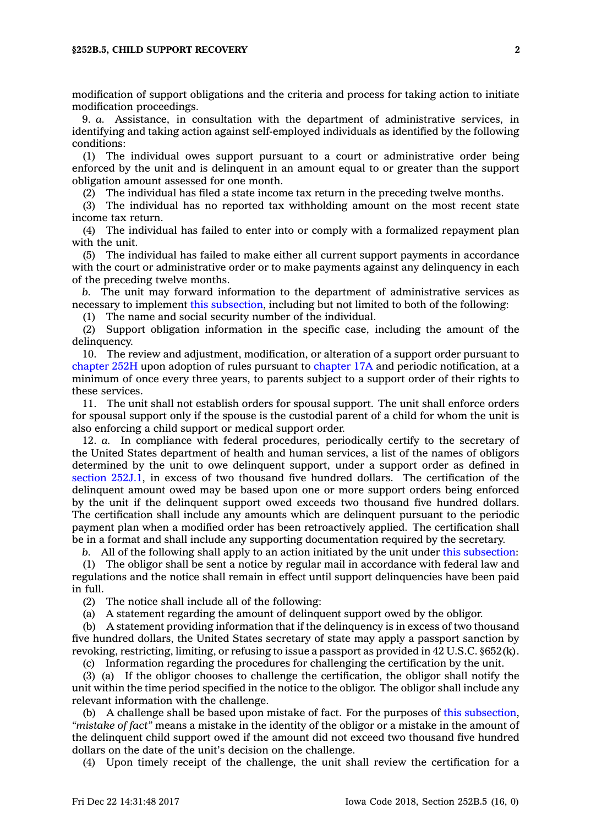## **§252B.5, CHILD SUPPORT RECOVERY 2**

modification of support obligations and the criteria and process for taking action to initiate modification proceedings.

9. *a.* Assistance, in consultation with the department of administrative services, in identifying and taking action against self-employed individuals as identified by the following conditions:

(1) The individual owes support pursuant to <sup>a</sup> court or administrative order being enforced by the unit and is delinquent in an amount equal to or greater than the support obligation amount assessed for one month.

(2) The individual has filed <sup>a</sup> state income tax return in the preceding twelve months.

(3) The individual has no reported tax withholding amount on the most recent state income tax return.

(4) The individual has failed to enter into or comply with <sup>a</sup> formalized repayment plan with the unit.

(5) The individual has failed to make either all current support payments in accordance with the court or administrative order or to make payments against any delinquency in each of the preceding twelve months.

*b.* The unit may forward information to the department of administrative services as necessary to implement this [subsection](https://www.legis.iowa.gov/docs/code/252B.5.pdf), including but not limited to both of the following:

(1) The name and social security number of the individual.

(2) Support obligation information in the specific case, including the amount of the delinquency.

10. The review and adjustment, modification, or alteration of <sup>a</sup> support order pursuant to [chapter](https://www.legis.iowa.gov/docs/code//252H.pdf) 252H upon adoption of rules pursuant to [chapter](https://www.legis.iowa.gov/docs/code//17A.pdf) 17A and periodic notification, at <sup>a</sup> minimum of once every three years, to parents subject to <sup>a</sup> support order of their rights to these services.

11. The unit shall not establish orders for spousal support. The unit shall enforce orders for spousal support only if the spouse is the custodial parent of <sup>a</sup> child for whom the unit is also enforcing <sup>a</sup> child support or medical support order.

12. *a.* In compliance with federal procedures, periodically certify to the secretary of the United States department of health and human services, <sup>a</sup> list of the names of obligors determined by the unit to owe delinquent support, under <sup>a</sup> support order as defined in section [252J.1](https://www.legis.iowa.gov/docs/code/252J.1.pdf), in excess of two thousand five hundred dollars. The certification of the delinquent amount owed may be based upon one or more support orders being enforced by the unit if the delinquent support owed exceeds two thousand five hundred dollars. The certification shall include any amounts which are delinquent pursuant to the periodic payment plan when <sup>a</sup> modified order has been retroactively applied. The certification shall be in <sup>a</sup> format and shall include any supporting documentation required by the secretary.

*b.* All of the following shall apply to an action initiated by the unit under this [subsection](https://www.legis.iowa.gov/docs/code/252B.5.pdf):

(1) The obligor shall be sent <sup>a</sup> notice by regular mail in accordance with federal law and regulations and the notice shall remain in effect until support delinquencies have been paid in full.

(2) The notice shall include all of the following:

(a) A statement regarding the amount of delinquent support owed by the obligor.

(b) A statement providing information that if the delinquency is in excess of two thousand five hundred dollars, the United States secretary of state may apply <sup>a</sup> passport sanction by revoking, restricting, limiting, or refusing to issue <sup>a</sup> passport as provided in 42 U.S.C. §652(k).

(c) Information regarding the procedures for challenging the certification by the unit.

(3) (a) If the obligor chooses to challenge the certification, the obligor shall notify the unit within the time period specified in the notice to the obligor. The obligor shall include any relevant information with the challenge.

(b) A challenge shall be based upon mistake of fact. For the purposes of this [subsection](https://www.legis.iowa.gov/docs/code/252B.5.pdf), *"mistake of fact"* means <sup>a</sup> mistake in the identity of the obligor or <sup>a</sup> mistake in the amount of the delinquent child support owed if the amount did not exceed two thousand five hundred dollars on the date of the unit's decision on the challenge.

(4) Upon timely receipt of the challenge, the unit shall review the certification for <sup>a</sup>